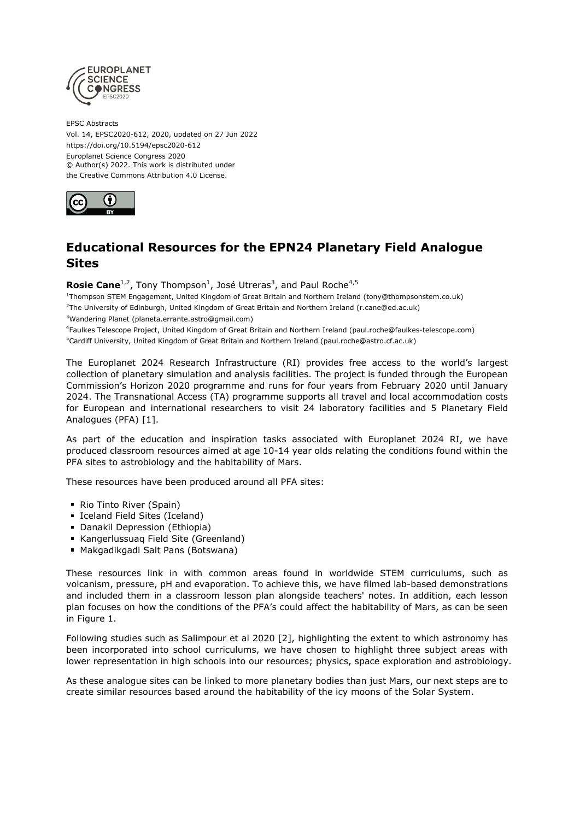

EPSC Abstracts Vol. 14, EPSC2020-612, 2020, updated on 27 Jun 2022 https://doi.org/10.5194/epsc2020-612 Europlanet Science Congress 2020 © Author(s) 2022. This work is distributed under the Creative Commons Attribution 4.0 License.



## **Educational Resources for the EPN24 Planetary Field Analogue Sites**

**Rosie Cane**<sup>1,2</sup>, Tony Thompson<sup>1</sup>, José Utreras<sup>3</sup>, and Paul Roche<sup>4,5</sup>

1 Thompson STEM Engagement, United Kingdom of Great Britain and Northern Ireland (tony@thompsonstem.co.uk) <sup>2</sup>The University of Edinburgh, United Kingdom of Great Britain and Northern Ireland (r.cane@ed.ac.uk)

<sup>3</sup>Wandering Planet (planeta.errante.astro@gmail.com)

4 Faulkes Telescope Project, United Kingdom of Great Britain and Northern Ireland (paul.roche@faulkes-telescope.com) <sup>5</sup>Cardiff University, United Kingdom of Great Britain and Northern Ireland (paul.roche@astro.cf.ac.uk)

The Europlanet 2024 Research Infrastructure (RI) provides free access to the world's largest collection of planetary simulation and analysis facilities. The project is funded through the European Commission's Horizon 2020 programme and runs for four years from February 2020 until January 2024. The Transnational Access (TA) programme supports all travel and local accommodation costs for European and international researchers to visit 24 laboratory facilities and 5 Planetary Field Analogues (PFA) [1].

As part of the education and inspiration tasks associated with Europlanet 2024 RI, we have produced classroom resources aimed at age 10-14 year olds relating the conditions found within the PFA sites to astrobiology and the habitability of Mars.

These resources have been produced around all PFA sites:

- Rio Tinto River (Spain)
- Iceland Field Sites (Iceland)
- **Danakil Depression (Ethiopia)**
- Kangerlussuag Field Site (Greenland)
- Makgadikgadi Salt Pans (Botswana)

These resources link in with common areas found in worldwide STEM curriculums, such as volcanism, pressure, pH and evaporation. To achieve this, we have filmed lab-based demonstrations and included them in a classroom lesson plan alongside teachers' notes. In addition, each lesson plan focuses on how the conditions of the PFA's could affect the habitability of Mars, as can be seen in Figure 1.

Following studies such as Salimpour et al 2020 [2], highlighting the extent to which astronomy has been incorporated into school curriculums, we have chosen to highlight three subject areas with lower representation in high schools into our resources; physics, space exploration and astrobiology.

As these analogue sites can be linked to more planetary bodies than just Mars, our next steps are to create similar resources based around the habitability of the icy moons of the Solar System.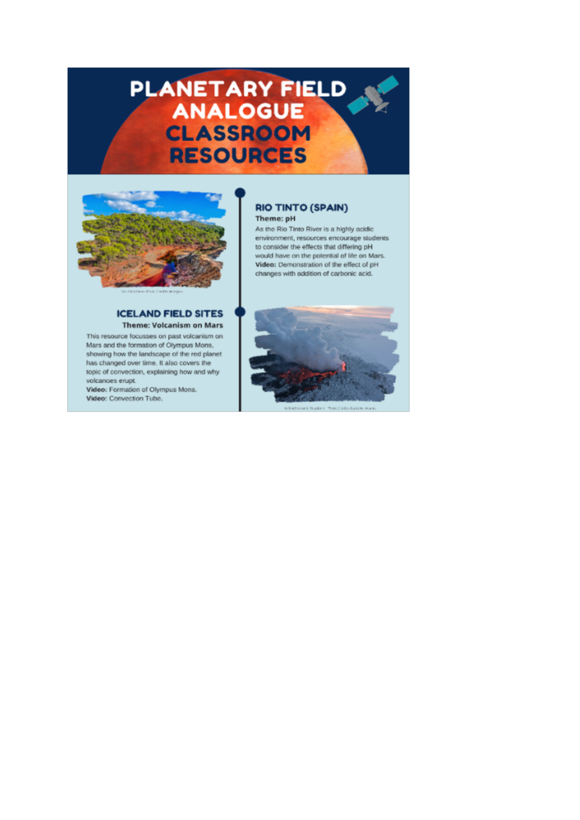## PLANETARY FIELD **CLASSROOM RESOURCES**



## **ICELAND FIELD SITES Theme: Volcanism on Mars**

This resource focusses on past volcanism on Mars and the formation of Olympus Mons. showing how the landscape of the red planet has changed over time. It also covers the topic of convection, explaining how and why volcanoes erupt.

Video: Formation of Olympus Mons. Video: Convection Tube.

## **RIO TINTO (SPAIN)** Theme: pH

As the Rio Tinto River is a highly acidic environment, resources encourage students to consider the effects that differing pH would have on the potential of life on Mars. Video: Demonstration of the effect of pH changes with addition of carbonic acid.